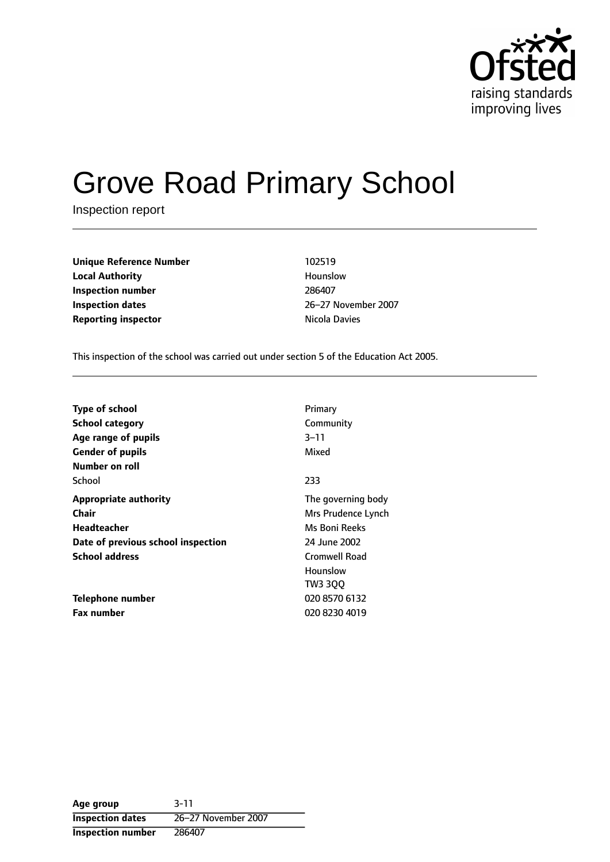

# Grove Road Primary School

Inspection report

| <b>Unique Reference Number</b> | 102519        |
|--------------------------------|---------------|
| <b>Local Authority</b>         | Hounslow      |
| Inspection number              | 286407        |
| <b>Inspection dates</b>        | 26-27 Novem   |
| <b>Reporting inspector</b>     | Nicola Davies |

**Local Authority** Hounslow **Inspection dates** 2627 November 2007

This inspection of the school was carried out under section 5 of the Education Act 2005.

| <b>Type of school</b>              | Primary              |
|------------------------------------|----------------------|
| <b>School category</b>             | Community            |
| Age range of pupils                | $3 - 11$             |
| <b>Gender of pupils</b>            | Mixed                |
| Number on roll                     |                      |
| School                             | 233                  |
| <b>Appropriate authority</b>       | The governing body   |
| Chair                              | Mrs Prudence Lynch   |
| Headteacher                        | Ms Boni Reeks        |
| Date of previous school inspection | 24 June 2002         |
| <b>School address</b>              | <b>Cromwell Road</b> |
|                                    | Hounslow             |
|                                    | TW3 300              |
| Telephone number                   | 020 8570 6132        |
| <b>Fax number</b>                  | 020 8230 4019        |

**Age group** 3-11 **Inspection dates** 26-27 November 2007 **Inspection number** 286407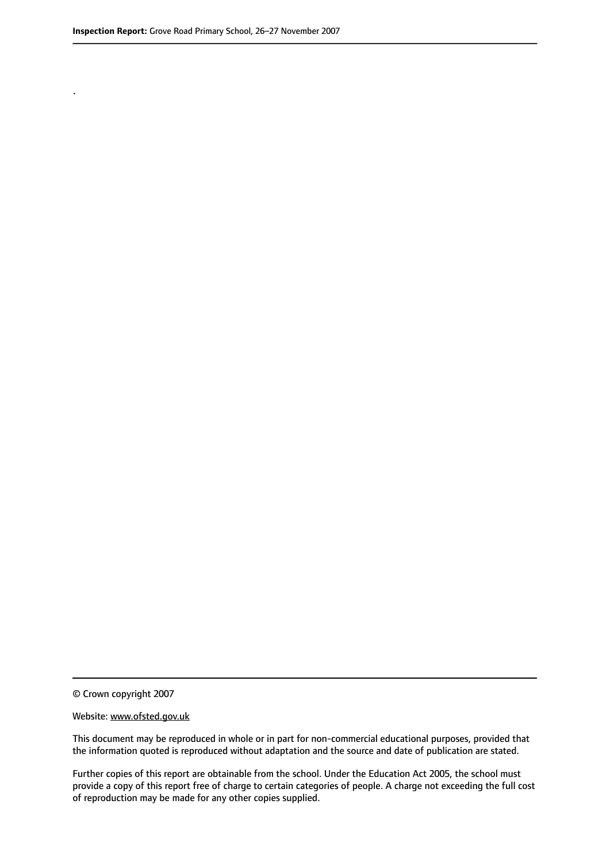.

© Crown copyright 2007

#### Website: www.ofsted.gov.uk

This document may be reproduced in whole or in part for non-commercial educational purposes, provided that the information quoted is reproduced without adaptation and the source and date of publication are stated.

Further copies of this report are obtainable from the school. Under the Education Act 2005, the school must provide a copy of this report free of charge to certain categories of people. A charge not exceeding the full cost of reproduction may be made for any other copies supplied.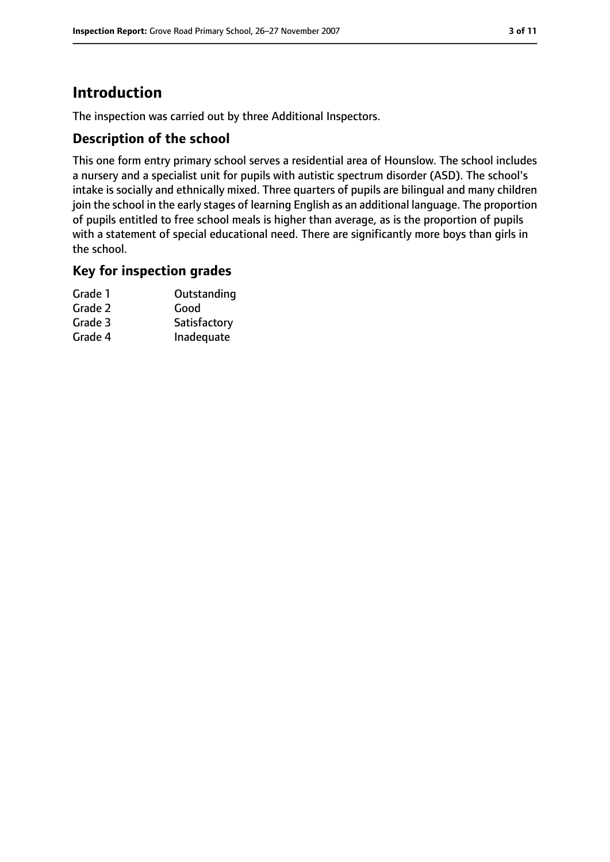# **Introduction**

The inspection was carried out by three Additional Inspectors.

## **Description of the school**

This one form entry primary school serves a residential area of Hounslow. The school includes a nursery and a specialist unit for pupils with autistic spectrum disorder (ASD). The school's intake is socially and ethnically mixed. Three quarters of pupils are bilingual and many children join the school in the early stages of learning English as an additional language. The proportion of pupils entitled to free school meals is higher than average, as is the proportion of pupils with a statement of special educational need. There are significantly more boys than girls in the school.

## **Key for inspection grades**

| Grade 1 | Outstanding  |
|---------|--------------|
| Grade 2 | Good         |
| Grade 3 | Satisfactory |
| Grade 4 | Inadequate   |
|         |              |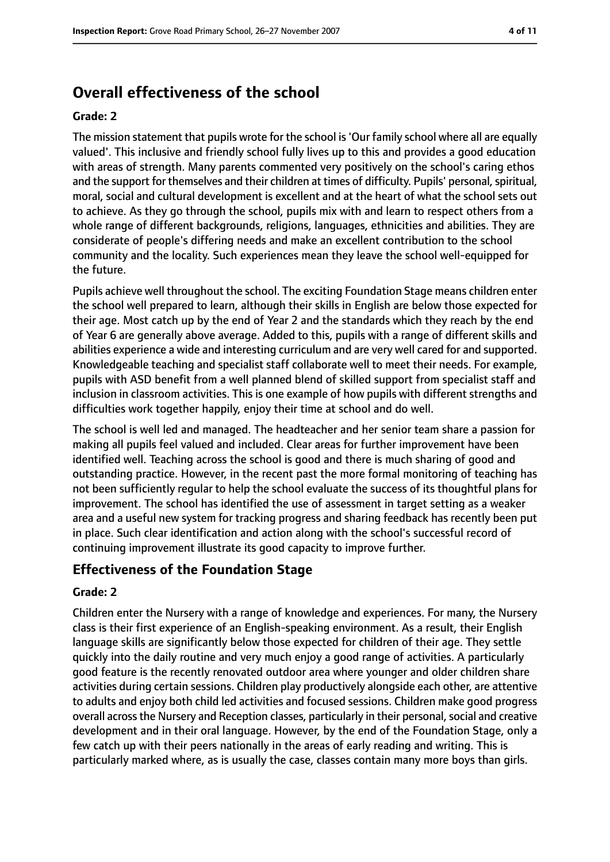# **Overall effectiveness of the school**

#### **Grade: 2**

The mission statement that pupils wrote for the school is'Our family school where all are equally valued'. This inclusive and friendly school fully lives up to this and provides a good education with areas of strength. Many parents commented very positively on the school's caring ethos and the support for themselves and their children at times of difficulty. Pupils' personal, spiritual, moral, social and cultural development is excellent and at the heart of what the school sets out to achieve. As they go through the school, pupils mix with and learn to respect others from a whole range of different backgrounds, religions, languages, ethnicities and abilities. They are considerate of people's differing needs and make an excellent contribution to the school community and the locality. Such experiences mean they leave the school well-equipped for the future.

Pupils achieve well throughout the school. The exciting Foundation Stage means children enter the school well prepared to learn, although their skills in English are below those expected for their age. Most catch up by the end of Year 2 and the standards which they reach by the end of Year 6 are generally above average. Added to this, pupils with a range of different skills and abilities experience a wide and interesting curriculum and are very well cared for and supported. Knowledgeable teaching and specialist staff collaborate well to meet their needs. For example, pupils with ASD benefit from a well planned blend of skilled support from specialist staff and inclusion in classroom activities. This is one example of how pupils with different strengths and difficulties work together happily, enjoy their time at school and do well.

The school is well led and managed. The headteacher and her senior team share a passion for making all pupils feel valued and included. Clear areas for further improvement have been identified well. Teaching across the school is good and there is much sharing of good and outstanding practice. However, in the recent past the more formal monitoring of teaching has not been sufficiently regular to help the school evaluate the success of its thoughtful plans for improvement. The school has identified the use of assessment in target setting as a weaker area and a useful new system for tracking progress and sharing feedback has recently been put in place. Such clear identification and action along with the school's successful record of continuing improvement illustrate its good capacity to improve further.

## **Effectiveness of the Foundation Stage**

#### **Grade: 2**

Children enter the Nursery with a range of knowledge and experiences. For many, the Nursery class is their first experience of an English-speaking environment. As a result, their English language skills are significantly below those expected for children of their age. They settle quickly into the daily routine and very much enjoy a good range of activities. A particularly good feature is the recently renovated outdoor area where younger and older children share activities during certain sessions. Children play productively alongside each other, are attentive to adults and enjoy both child led activities and focused sessions. Children make good progress overall across the Nursery and Reception classes, particularly in their personal, social and creative development and in their oral language. However, by the end of the Foundation Stage, only a few catch up with their peers nationally in the areas of early reading and writing. This is particularly marked where, as is usually the case, classes contain many more boys than girls.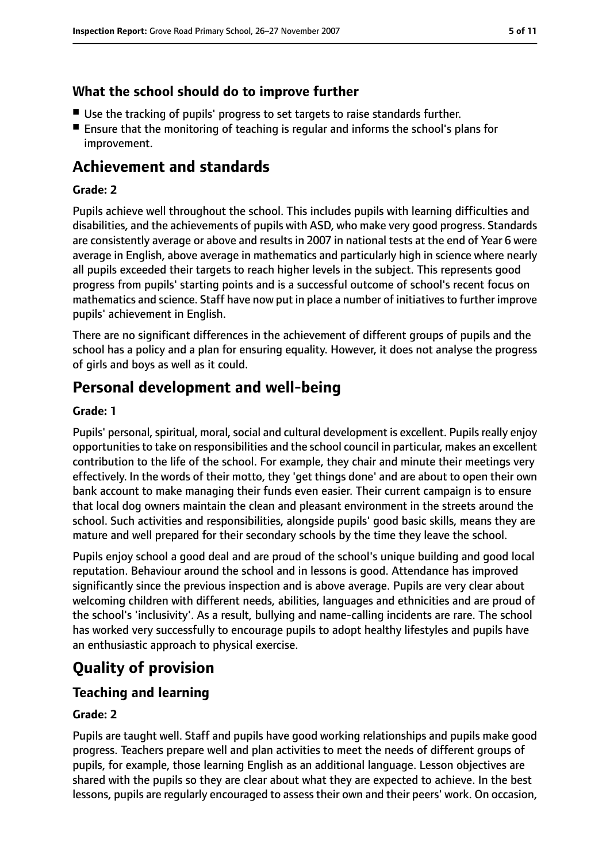## **What the school should do to improve further**

- Use the tracking of pupils' progress to set targets to raise standards further.
- Ensure that the monitoring of teaching is regular and informs the school's plans for improvement.

# **Achievement and standards**

#### **Grade: 2**

Pupils achieve well throughout the school. This includes pupils with learning difficulties and disabilities, and the achievements of pupils with ASD, who make very good progress. Standards are consistently average or above and results in 2007 in national tests at the end of Year 6 were average in English, above average in mathematics and particularly high in science where nearly all pupils exceeded their targets to reach higher levels in the subject. This represents good progress from pupils' starting points and is a successful outcome of school's recent focus on mathematics and science. Staff have now put in place a number of initiatives to further improve pupils' achievement in English.

There are no significant differences in the achievement of different groups of pupils and the school has a policy and a plan for ensuring equality. However, it does not analyse the progress of girls and boys as well as it could.

# **Personal development and well-being**

#### **Grade: 1**

Pupils' personal, spiritual, moral, social and cultural development is excellent. Pupils really enjoy opportunitiesto take on responsibilities and the school council in particular, makes an excellent contribution to the life of the school. For example, they chair and minute their meetings very effectively. In the words of their motto, they 'get things done' and are about to open their own bank account to make managing their funds even easier. Their current campaign is to ensure that local dog owners maintain the clean and pleasant environment in the streets around the school. Such activities and responsibilities, alongside pupils' good basic skills, means they are mature and well prepared for their secondary schools by the time they leave the school.

Pupils enjoy school a good deal and are proud of the school's unique building and good local reputation. Behaviour around the school and in lessons is good. Attendance has improved significantly since the previous inspection and is above average. Pupils are very clear about welcoming children with different needs, abilities, languages and ethnicities and are proud of the school's 'inclusivity'. As a result, bullying and name-calling incidents are rare. The school has worked very successfully to encourage pupils to adopt healthy lifestyles and pupils have an enthusiastic approach to physical exercise.

# **Quality of provision**

## **Teaching and learning**

#### **Grade: 2**

Pupils are taught well. Staff and pupils have good working relationships and pupils make good progress. Teachers prepare well and plan activities to meet the needs of different groups of pupils, for example, those learning English as an additional language. Lesson objectives are shared with the pupils so they are clear about what they are expected to achieve. In the best lessons, pupils are regularly encouraged to assess their own and their peers' work. On occasion,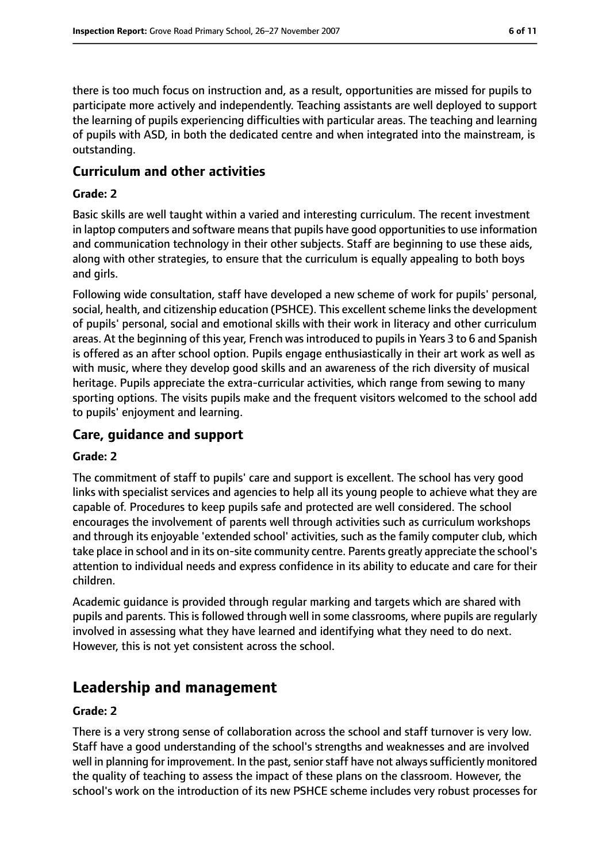there is too much focus on instruction and, as a result, opportunities are missed for pupils to participate more actively and independently. Teaching assistants are well deployed to support the learning of pupils experiencing difficulties with particular areas. The teaching and learning of pupils with ASD, in both the dedicated centre and when integrated into the mainstream, is outstanding.

#### **Curriculum and other activities**

#### **Grade: 2**

Basic skills are well taught within a varied and interesting curriculum. The recent investment in laptop computers and software means that pupils have good opportunities to use information and communication technology in their other subjects. Staff are beginning to use these aids, along with other strategies, to ensure that the curriculum is equally appealing to both boys and girls.

Following wide consultation, staff have developed a new scheme of work for pupils' personal, social, health, and citizenship education (PSHCE). This excellent scheme links the development of pupils' personal, social and emotional skills with their work in literacy and other curriculum areas. At the beginning of this year, French was introduced to pupils in Years 3 to 6 and Spanish is offered as an after school option. Pupils engage enthusiastically in their art work as well as with music, where they develop good skills and an awareness of the rich diversity of musical heritage. Pupils appreciate the extra-curricular activities, which range from sewing to many sporting options. The visits pupils make and the frequent visitors welcomed to the school add to pupils' enjoyment and learning.

#### **Care, guidance and support**

#### **Grade: 2**

The commitment of staff to pupils' care and support is excellent. The school has very good links with specialist services and agencies to help all its young people to achieve what they are capable of. Procedures to keep pupils safe and protected are well considered. The school encourages the involvement of parents well through activities such as curriculum workshops and through its enjoyable 'extended school' activities, such as the family computer club, which take place in school and in its on-site community centre. Parents greatly appreciate the school's attention to individual needs and express confidence in its ability to educate and care for their children.

Academic guidance is provided through regular marking and targets which are shared with pupils and parents. This is followed through well in some classrooms, where pupils are regularly involved in assessing what they have learned and identifying what they need to do next. However, this is not yet consistent across the school.

# **Leadership and management**

#### **Grade: 2**

There is a very strong sense of collaboration across the school and staff turnover is very low. Staff have a good understanding of the school's strengths and weaknesses and are involved well in planning for improvement. In the past, senior staff have not always sufficiently monitored the quality of teaching to assess the impact of these plans on the classroom. However, the school's work on the introduction of its new PSHCE scheme includes very robust processes for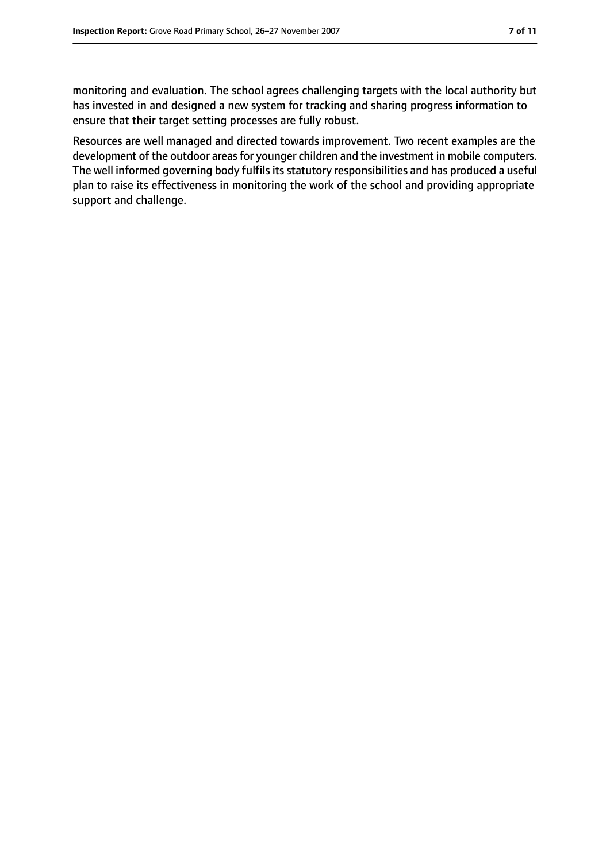monitoring and evaluation. The school agrees challenging targets with the local authority but has invested in and designed a new system for tracking and sharing progress information to ensure that their target setting processes are fully robust.

Resources are well managed and directed towards improvement. Two recent examples are the development of the outdoor areas for younger children and the investment in mobile computers. The well informed governing body fulfils its statutory responsibilities and has produced a useful plan to raise its effectiveness in monitoring the work of the school and providing appropriate support and challenge.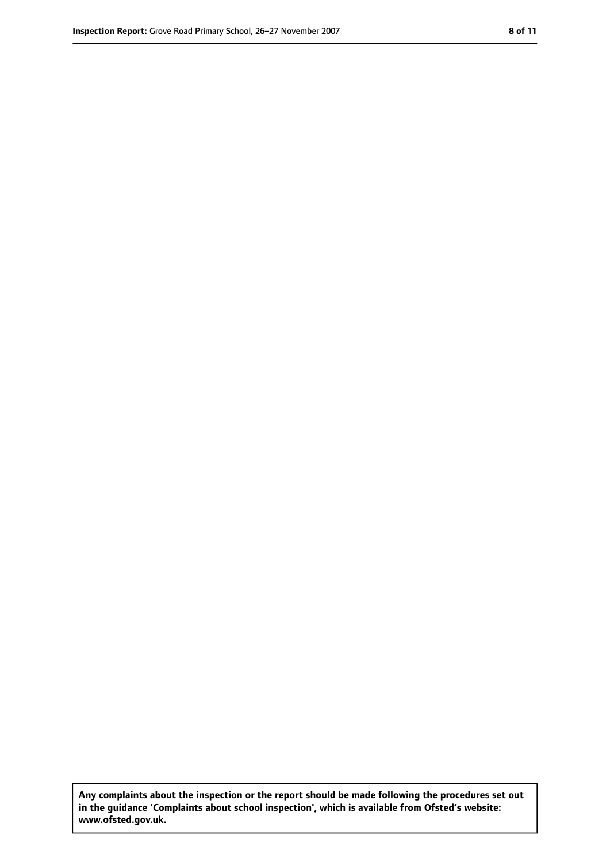**Any complaints about the inspection or the report should be made following the procedures set out in the guidance 'Complaints about school inspection', which is available from Ofsted's website: www.ofsted.gov.uk.**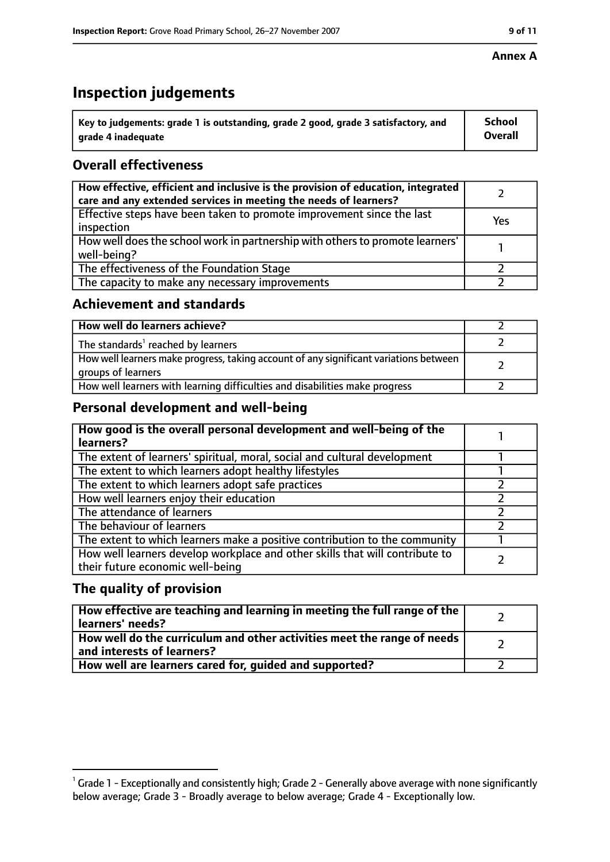# **Inspection judgements**

| $^{\backprime}$ Key to judgements: grade 1 is outstanding, grade 2 good, grade 3 satisfactory, and | <b>School</b>  |
|----------------------------------------------------------------------------------------------------|----------------|
| arade 4 inadequate                                                                                 | <b>Overall</b> |

# **Overall effectiveness**

| How effective, efficient and inclusive is the provision of education, integrated<br>care and any extended services in meeting the needs of learners? |     |
|------------------------------------------------------------------------------------------------------------------------------------------------------|-----|
| Effective steps have been taken to promote improvement since the last<br>inspection                                                                  | Yes |
| How well does the school work in partnership with others to promote learners'<br>well-being?                                                         |     |
| The effectiveness of the Foundation Stage                                                                                                            |     |
| The capacity to make any necessary improvements                                                                                                      |     |

### **Achievement and standards**

| How well do learners achieve?                                                                               |  |
|-------------------------------------------------------------------------------------------------------------|--|
| The standards <sup>1</sup> reached by learners                                                              |  |
| How well learners make progress, taking account of any significant variations between<br>groups of learners |  |
| How well learners with learning difficulties and disabilities make progress                                 |  |

## **Personal development and well-being**

| How good is the overall personal development and well-being of the<br>learners?                                  |  |
|------------------------------------------------------------------------------------------------------------------|--|
| The extent of learners' spiritual, moral, social and cultural development                                        |  |
| The extent to which learners adopt healthy lifestyles                                                            |  |
| The extent to which learners adopt safe practices                                                                |  |
| How well learners enjoy their education                                                                          |  |
| The attendance of learners                                                                                       |  |
| The behaviour of learners                                                                                        |  |
| The extent to which learners make a positive contribution to the community                                       |  |
| How well learners develop workplace and other skills that will contribute to<br>their future economic well-being |  |

## **The quality of provision**

| How effective are teaching and learning in meeting the full range of the<br>learners' needs?          |  |
|-------------------------------------------------------------------------------------------------------|--|
| How well do the curriculum and other activities meet the range of needs<br>and interests of learners? |  |
| How well are learners cared for, quided and supported?                                                |  |

 $^1$  Grade 1 - Exceptionally and consistently high; Grade 2 - Generally above average with none significantly below average; Grade 3 - Broadly average to below average; Grade 4 - Exceptionally low.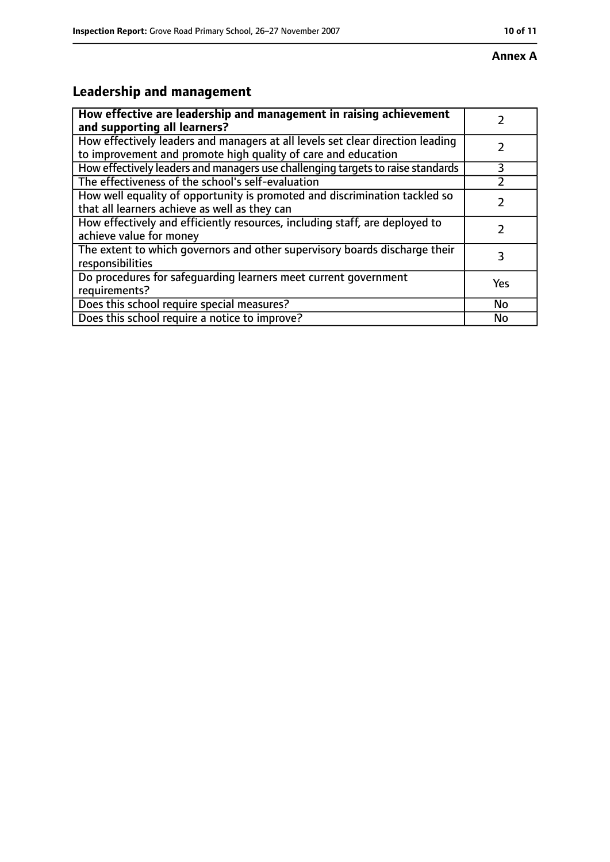# **Leadership and management**

| How effective are leadership and management in raising achievement<br>and supporting all learners?                                              |     |
|-------------------------------------------------------------------------------------------------------------------------------------------------|-----|
| How effectively leaders and managers at all levels set clear direction leading<br>to improvement and promote high quality of care and education |     |
| How effectively leaders and managers use challenging targets to raise standards                                                                 | 3   |
| The effectiveness of the school's self-evaluation                                                                                               |     |
| How well equality of opportunity is promoted and discrimination tackled so<br>that all learners achieve as well as they can                     |     |
| How effectively and efficiently resources, including staff, are deployed to<br>achieve value for money                                          |     |
| The extent to which governors and other supervisory boards discharge their<br>responsibilities                                                  | 3   |
| Do procedures for safequarding learners meet current government<br>requirements?                                                                | Yes |
| Does this school require special measures?                                                                                                      | No  |
| Does this school require a notice to improve?                                                                                                   | No  |